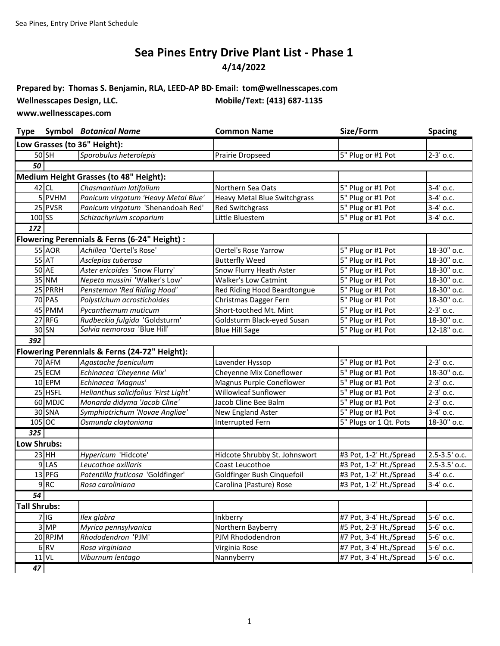## **4/14/2022 Sea Pines Entry Drive Plant List - Phase 1**

**Prepared by: Thomas S. Benjamin, RLA, LEED-AP BD+Email: tom@wellnesscapes.com** Wellnesscapes Design, LLC. Mobile/Text: (413) 687-1135

**www.wellnesscapes.com**

| <b>Type</b>         |                 | <b>Symbol Botanical Name</b>                  | <b>Common Name</b>                  | Size/Form               | <b>Spacing</b>        |
|---------------------|-----------------|-----------------------------------------------|-------------------------------------|-------------------------|-----------------------|
|                     |                 | Low Grasses (to 36" Height):                  |                                     |                         |                       |
|                     | $50$ SH         | Sporobulus heterolepis                        | Prairie Dropseed                    | 5" Plug or #1 Pot       | 2-3' o.c.             |
| $\overline{50}$     |                 |                                               |                                     |                         |                       |
|                     |                 | Medium Height Grasses (to 48" Height):        |                                     |                         |                       |
|                     | $42$ CL         | Chasmantium latifolium                        | Northern Sea Oats                   | 5" Plug or #1 Pot       | $3-4'$ o.c.           |
|                     | 5 PVHM          | Panicum virgatum 'Heavy Metal Blue'           | <b>Heavy Metal Blue Switchgrass</b> | 5" Plug or #1 Pot       | $3-4'$ o.c.           |
|                     | 25 PVSR         | Panicum virgatum 'Shenandoah Red'             | <b>Red Switchgrass</b>              | 5" Plug or #1 Pot       | 3-4' o.c.             |
| $100$ SS            |                 | Schizachyrium scoparium                       | Little Bluestem                     | 5" Plug or #1 Pot       | 3-4' o.c.             |
| 172                 |                 |                                               |                                     |                         |                       |
|                     |                 | Flowering Perennials & Ferns (6-24" Height) : |                                     |                         |                       |
|                     | <b>55 AOR</b>   | Achillea 'Oertel's Rose'                      | Oertel's Rose Yarrow                | 5" Plug or #1 Pot       | 18-30" o.c.           |
|                     | 55 AT           | Asclepias tuberosa                            | <b>Butterfly Weed</b>               | 5" Plug or #1 Pot       | 18-30" o.c.           |
|                     | 50 AE           | Aster ericoides 'Snow Flurry'                 | Snow Flurry Heath Aster             | 5" Plug or #1 Pot       | 18-30" o.c.           |
|                     | 35 NM           | Nepeta mussini 'Walker's Low'                 | <b>Walker's Low Catmint</b>         | 5" Plug or #1 Pot       | $18-30$ " o.c.        |
|                     | 25 PRRH         | Penstemon 'Red Riding Hood'                   | Red Riding Hood Beardtongue         | 5" Plug or #1 Pot       | 18-30" o.c.           |
|                     | <b>70 PAS</b>   | Polystichum acrostichoides                    | Christmas Dagger Fern               | 5" Plug or #1 Pot       | 18-30" o.c.           |
|                     | 45 PMM          | Pycanthemum muticum                           | Short-toothed Mt. Mint              | 5" Plug or #1 Pot       | $2-3'$ o.c.           |
|                     | 27 RFG          | Rudbeckia fulgida 'Goldsturm'                 | Goldsturm Black-eyed Susan          | 5" Plug or #1 Pot       | 18-30" o.c.           |
|                     | $30$ SN         | Salvia nemorosa 'Blue Hill'                   | <b>Blue Hill Sage</b>               | 5" Plug or #1 Pot       | $12 - 18"$ o.c.       |
| 392                 |                 |                                               |                                     |                         |                       |
|                     |                 | Flowering Perennials & Ferns (24-72" Height): |                                     |                         |                       |
|                     | 70 AFM          | Agastache foeniculum                          | Lavender Hyssop                     | 5" Plug or #1 Pot       | 2-3' o.c.             |
|                     | 25 ECM          | Echinacea 'Cheyenne Mix'                      | Cheyenne Mix Coneflower             | 5" Plug or #1 Pot       | 18-30" o.c.           |
|                     | 10 EPM          | Echinacea 'Magnus'                            | Magnus Purple Coneflower            | 5" Plug or #1 Pot       | $2-3'$ o.c.           |
|                     | 25 HSFL         | Helianthus salicifolius 'First Light'         | Willowleaf Sunflower                | 5" Plug or #1 Pot       | $2-3'$ o.c.           |
|                     | 60 MDJC         | Monarda didyma 'Jacob Cline'                  | Jacob Cline Bee Balm                | 5" Plug or #1 Pot       | $2-3'$ o.c.           |
|                     | 30 SNA          | Symphiotrichum 'Novae Angliae'                | New England Aster                   | 5" Plug or #1 Pot       | 3-4' o.c.             |
|                     | 105 OC          | Osmunda claytoniana                           | Interrupted Fern                    | 5" Plugs or 1 Qt. Pots  | 18-30" o.c.           |
| $\overline{325}$    |                 |                                               |                                     |                         |                       |
| Low Shrubs:         |                 |                                               |                                     |                         |                       |
|                     | $23$ HH         | Hypericum 'Hidcote'                           | Hidcote Shrubby St. Johnswort       | #3 Pot, 1-2' Ht./Spread | 2.5-3.5' o.c.         |
|                     | 9LAS            | Leucothoe axillaris                           | Coast Leucothoe                     | #3 Pot, 1-2' Ht./Spread | 2.5-3.5' o.c.         |
|                     | 13 PFG          | Potentilla fruticosa 'Goldfinger'             | Goldfinger Bush Cinquefoil          | #3 Pot, 1-2' Ht./Spread | 3-4' o.c.             |
|                     | 9RC             | Rosa caroliniana                              | Carolina (Pasture) Rose             | #3 Pot, 1-2' Ht./Spread | $3-4'$ o.c.           |
| 54                  |                 |                                               |                                     |                         |                       |
| <b>Tall Shrubs:</b> |                 |                                               |                                     |                         |                       |
|                     | 7 G             | Ilex glabra                                   | Inkberry                            | #7 Pot, 3-4' Ht./Spread | $\overline{5-6}$ o.c. |
|                     | 3 MP            | Myrica pennsylvanica                          | Northern Bayberry                   | #5 Pot, 2-3' Ht./Spread | 5-6' o.c.             |
|                     | 20 RPJM         | Rhododendron 'PJM'                            | PJM Rhododendron                    | #7 Pot, 3-4' Ht./Spread | 5-6' o.c.             |
|                     | 6 <sub>RV</sub> | Rosa virginiana                               | Virginia Rose                       | #7 Pot, 3-4' Ht./Spread | $5-6'$ o.c.           |
|                     | <b>11 VL</b>    | Viburnum lentago                              | Nannyberry                          | #7 Pot, 3-4' Ht./Spread | 5-6' o.c.             |
| 47                  |                 |                                               |                                     |                         |                       |